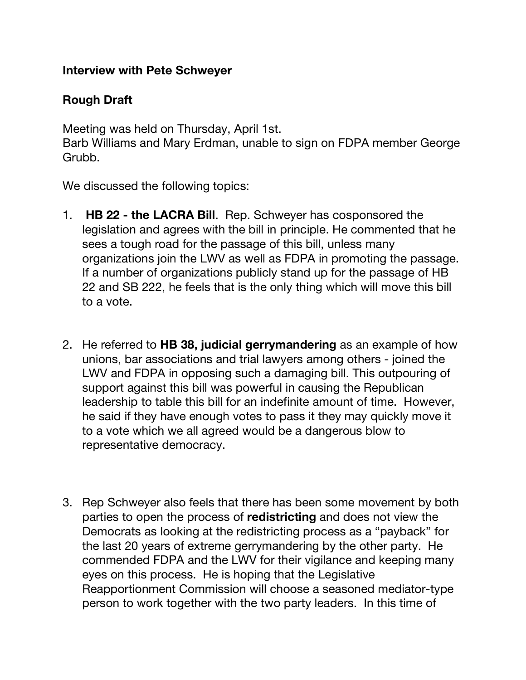## **Interview with Pete Schweyer**

## **Rough Draft**

Meeting was held on Thursday, April 1st.

Barb Williams and Mary Erdman, unable to sign on FDPA member George Grubb.

We discussed the following topics:

- 1. **HB 22 - the LACRA Bill**. Rep. Schweyer has cosponsored the legislation and agrees with the bill in principle. He commented that he sees a tough road for the passage of this bill, unless many organizations join the LWV as well as FDPA in promoting the passage. If a number of organizations publicly stand up for the passage of HB 22 and SB 222, he feels that is the only thing which will move this bill to a vote.
- 2. He referred to **HB 38, judicial gerrymandering** as an example of how unions, bar associations and trial lawyers among others - joined the LWV and FDPA in opposing such a damaging bill. This outpouring of support against this bill was powerful in causing the Republican leadership to table this bill for an indefinite amount of time. However, he said if they have enough votes to pass it they may quickly move it to a vote which we all agreed would be a dangerous blow to representative democracy.
- 3. Rep Schweyer also feels that there has been some movement by both parties to open the process of **redistricting** and does not view the Democrats as looking at the redistricting process as a "payback" for the last 20 years of extreme gerrymandering by the other party. He commended FDPA and the LWV for their vigilance and keeping many eyes on this process. He is hoping that the Legislative Reapportionment Commission will choose a seasoned mediator-type person to work together with the two party leaders. In this time of